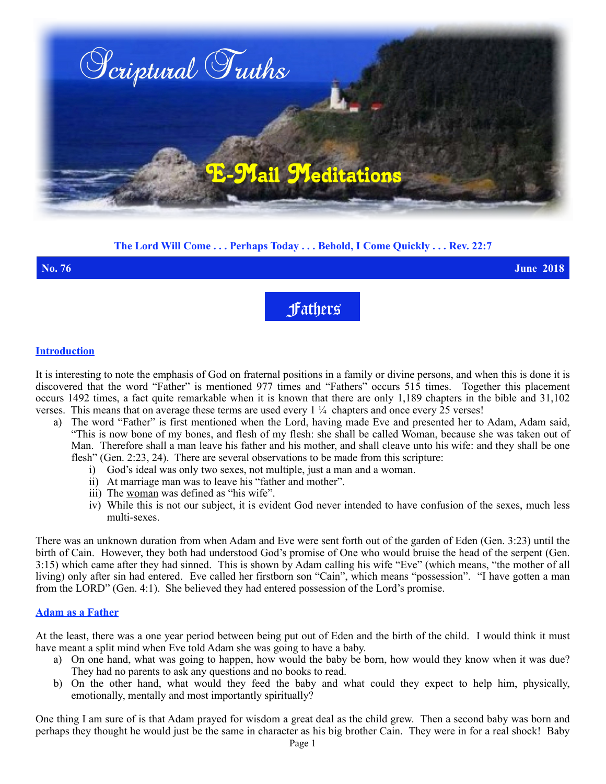

# **The Lord Will Come . . . Perhaps Today . . . Behold, I Come Quickly . . . Rev. 22:7**

**No. 76 June 2018**

Fathers

### **Introduction**

It is interesting to note the emphasis of God on fraternal positions in a family or divine persons, and when this is done it is discovered that the word "Father" is mentioned 977 times and "Fathers" occurs 515 times. Together this placement occurs 1492 times, a fact quite remarkable when it is known that there are only 1,189 chapters in the bible and 31,102 verses. This means that on average these terms are used every  $1\frac{1}{4}$  chapters and once every 25 verses!

- a) The word "Father" is first mentioned when the Lord, having made Eve and presented her to Adam, Adam said, "This is now bone of my bones, and flesh of my flesh: she shall be called Woman, because she was taken out of Man. Therefore shall a man leave his father and his mother, and shall cleave unto his wife: and they shall be one flesh" (Gen. 2:23, 24). There are several observations to be made from this scripture:
	- i) God's ideal was only two sexes, not multiple, just a man and a woman.
	- ii) At marriage man was to leave his "father and mother".
	- iii) The woman was defined as "his wife".
	- iv) While this is not our subject, it is evident God never intended to have confusion of the sexes, much less multi-sexes.

There was an unknown duration from when Adam and Eve were sent forth out of the garden of Eden (Gen. 3:23) until the birth of Cain. However, they both had understood God's promise of One who would bruise the head of the serpent (Gen. 3:15) which came after they had sinned. This is shown by Adam calling his wife "Eve" (which means, "the mother of all living) only after sin had entered. Eve called her firstborn son "Cain", which means "possession". "I have gotten a man from the LORD" (Gen. 4:1). She believed they had entered possession of the Lord's promise.

## **Adam as a Father**

At the least, there was a one year period between being put out of Eden and the birth of the child. I would think it must have meant a split mind when Eve told Adam she was going to have a baby.

- a) On one hand, what was going to happen, how would the baby be born, how would they know when it was due? They had no parents to ask any questions and no books to read.
- b) On the other hand, what would they feed the baby and what could they expect to help him, physically, emotionally, mentally and most importantly spiritually?

One thing I am sure of is that Adam prayed for wisdom a great deal as the child grew. Then a second baby was born and perhaps they thought he would just be the same in character as his big brother Cain. They were in for a real shock! Baby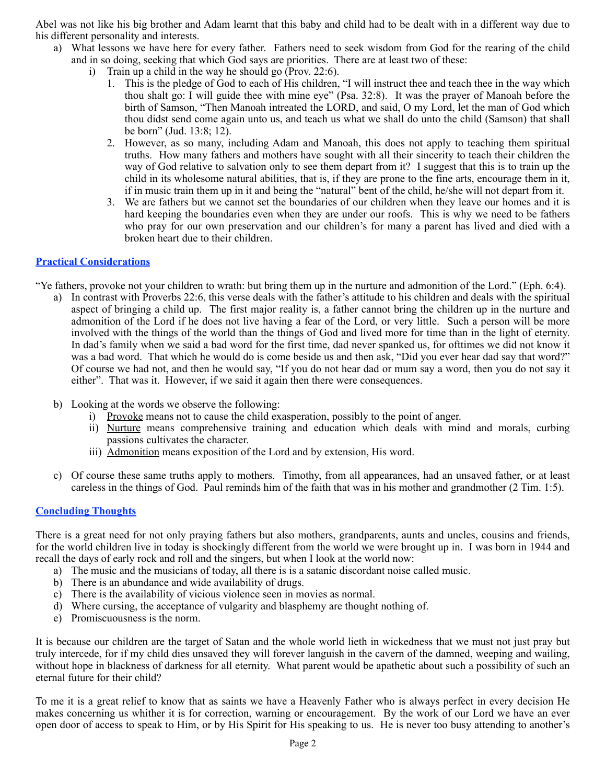Abel was not like his big brother and Adam learnt that this baby and child had to be dealt with in a different way due to his different personality and interests.

- a) What lessons we have here for every father. Fathers need to seek wisdom from God for the rearing of the child and in so doing, seeking that which God says are priorities. There are at least two of these:
	- i) Train up a child in the way he should go (Prov. 22:6).
		- 1. This is the pledge of God to each of His children, "I will instruct thee and teach thee in the way which thou shalt go: I will guide thee with mine eye" (Psa. 32:8). It was the prayer of Manoah before the birth of Samson, "Then Manoah intreated the LORD, and said, O my Lord, let the man of God which thou didst send come again unto us, and teach us what we shall do unto the child (Samson) that shall be born" (Jud. 13:8; 12).
		- 2. However, as so many, including Adam and Manoah, this does not apply to teaching them spiritual truths. How many fathers and mothers have sought with all their sincerity to teach their children the way of God relative to salvation only to see them depart from it? I suggest that this is to train up the child in its wholesome natural abilities, that is, if they are prone to the fine arts, encourage them in it, if in music train them up in it and being the "natural" bent of the child, he/she will not depart from it.
		- 3. We are fathers but we cannot set the boundaries of our children when they leave our homes and it is hard keeping the boundaries even when they are under our roofs. This is why we need to be fathers who pray for our own preservation and our children's for many a parent has lived and died with a broken heart due to their children.

## **Practical Considerations**

"Ye fathers, provoke not your children to wrath: but bring them up in the nurture and admonition of the Lord." (Eph. 6:4).

- a) In contrast with Proverbs 22:6, this verse deals with the father's attitude to his children and deals with the spiritual aspect of bringing a child up. The first major reality is, a father cannot bring the children up in the nurture and admonition of the Lord if he does not live having a fear of the Lord, or very little. Such a person will be more involved with the things of the world than the things of God and lived more for time than in the light of eternity. In dad's family when we said a bad word for the first time, dad never spanked us, for ofttimes we did not know it was a bad word. That which he would do is come beside us and then ask, "Did you ever hear dad say that word?" Of course we had not, and then he would say, "If you do not hear dad or mum say a word, then you do not say it either". That was it. However, if we said it again then there were consequences.
- b) Looking at the words we observe the following:
	- i) Provoke means not to cause the child exasperation, possibly to the point of anger.
	- ii) Nurture means comprehensive training and education which deals with mind and morals, curbing passions cultivates the character.
	- iii) Admonition means exposition of the Lord and by extension, His word.
- c) Of course these same truths apply to mothers. Timothy, from all appearances, had an unsaved father, or at least careless in the things of God. Paul reminds him of the faith that was in his mother and grandmother (2 Tim. 1:5).

#### **Concluding Thoughts**

There is a great need for not only praying fathers but also mothers, grandparents, aunts and uncles, cousins and friends, for the world children live in today is shockingly different from the world we were brought up in. I was born in 1944 and recall the days of early rock and roll and the singers, but when I look at the world now:

- a) The music and the musicians of today, all there is is a satanic discordant noise called music.
- b) There is an abundance and wide availability of drugs.
- c) There is the availability of vicious violence seen in movies as normal.
- d) Where cursing, the acceptance of vulgarity and blasphemy are thought nothing of.
- e) Promiscuousness is the norm.

It is because our children are the target of Satan and the whole world lieth in wickedness that we must not just pray but truly intercede, for if my child dies unsaved they will forever languish in the cavern of the damned, weeping and wailing, without hope in blackness of darkness for all eternity. What parent would be apathetic about such a possibility of such an eternal future for their child?

To me it is a great relief to know that as saints we have a Heavenly Father who is always perfect in every decision He makes concerning us whither it is for correction, warning or encouragement. By the work of our Lord we have an ever open door of access to speak to Him, or by His Spirit for His speaking to us. He is never too busy attending to another's